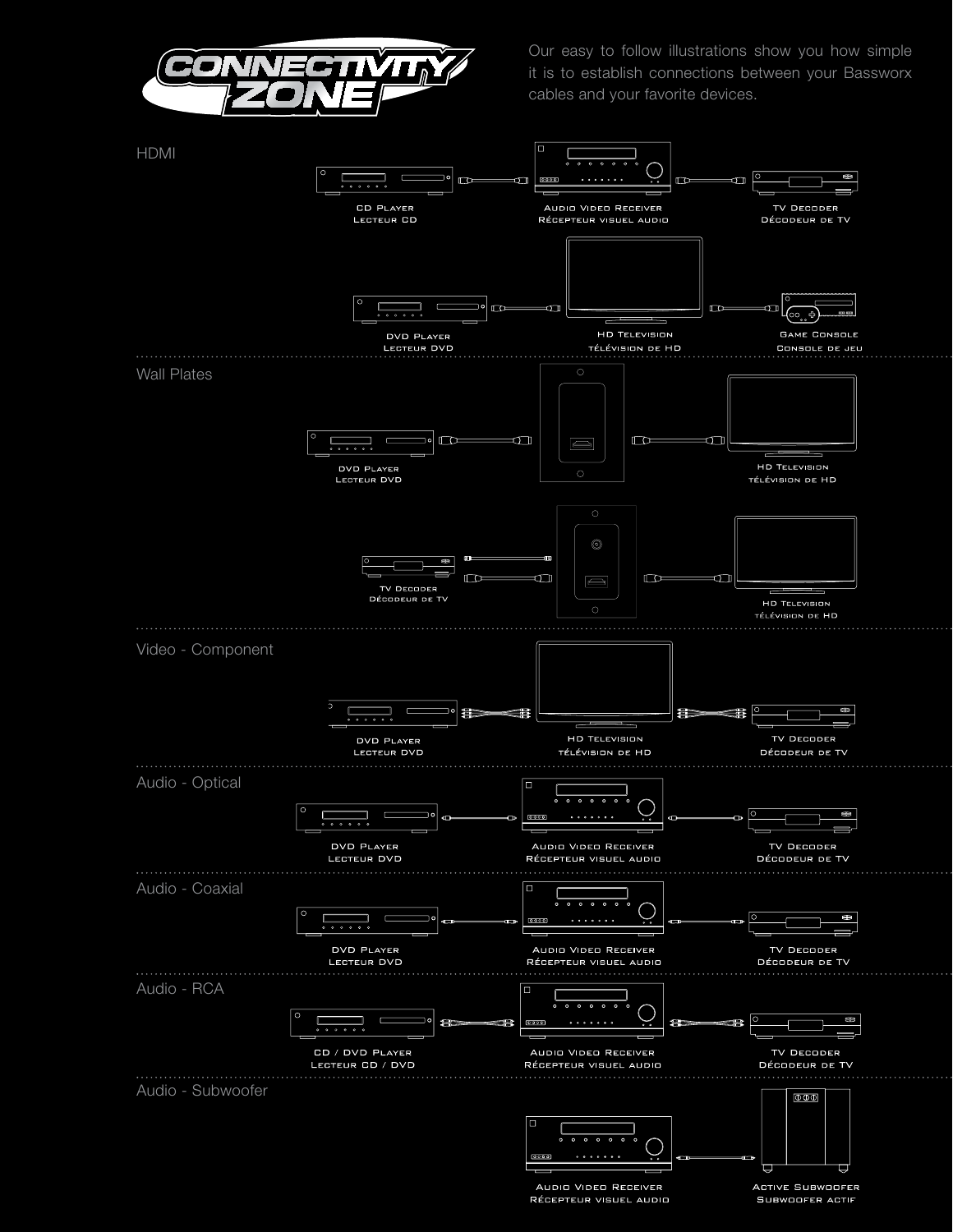

Our easy to follow illustrations show you how simple it is to establish connections between your Bassworx cables and your favorite devices.



AUDIO VIDEO RECEIVER RÉCEPTEUR VISUEL AUDIO

SUBWOOFER ACTIF